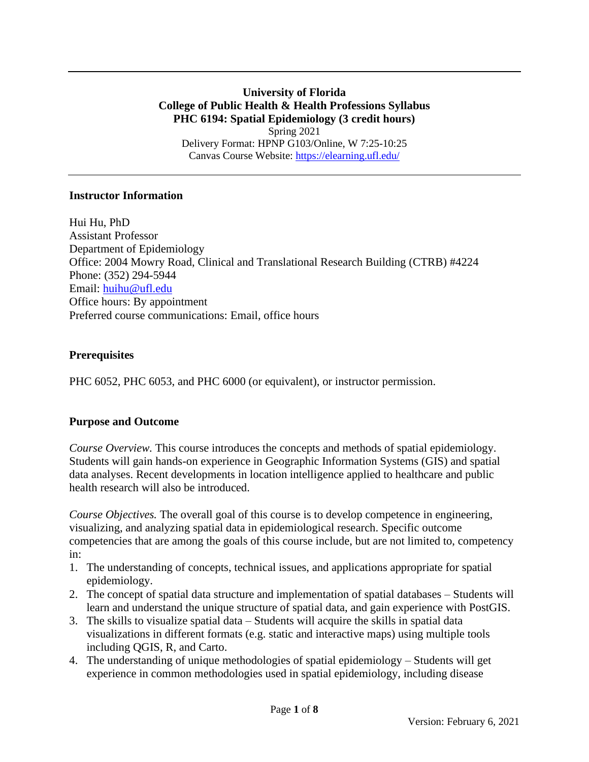**University of Florida College of Public Health & Health Professions Syllabus PHC 6194: Spatial Epidemiology (3 credit hours)** Spring 2021 Delivery Format: HPNP G103/Online, W 7:25-10:25 Canvas Course Website:<https://elearning.ufl.edu/>

#### **Instructor Information**

Hui Hu, PhD Assistant Professor Department of Epidemiology Office: 2004 Mowry Road, Clinical and Translational Research Building (CTRB) #4224 Phone: (352) 294-5944 Email: [huihu@ufl.edu](mailto:huihu@ufl.edu) Office hours: By appointment Preferred course communications: Email, office hours

### **Prerequisites**

PHC 6052, PHC 6053, and PHC 6000 (or equivalent), or instructor permission.

### **Purpose and Outcome**

*Course Overview.* This course introduces the concepts and methods of spatial epidemiology. Students will gain hands-on experience in Geographic Information Systems (GIS) and spatial data analyses. Recent developments in location intelligence applied to healthcare and public health research will also be introduced.

*Course Objectives.* The overall goal of this course is to develop competence in engineering, visualizing, and analyzing spatial data in epidemiological research. Specific outcome competencies that are among the goals of this course include, but are not limited to, competency in:

- 1. The understanding of concepts, technical issues, and applications appropriate for spatial epidemiology.
- 2. The concept of spatial data structure and implementation of spatial databases Students will learn and understand the unique structure of spatial data, and gain experience with PostGIS.
- 3. The skills to visualize spatial data Students will acquire the skills in spatial data visualizations in different formats (e.g. static and interactive maps) using multiple tools including QGIS, R, and Carto.
- 4. The understanding of unique methodologies of spatial epidemiology Students will get experience in common methodologies used in spatial epidemiology, including disease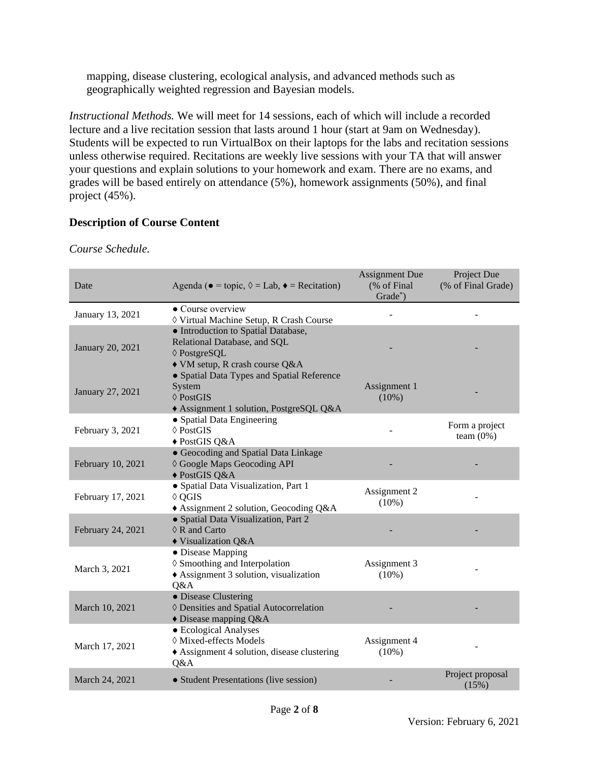mapping, disease clustering, ecological analysis, and advanced methods such as geographically weighted regression and Bayesian models.

*Instructional Methods.* We will meet for 14 sessions, each of which will include a recorded lecture and a live recitation session that lasts around 1 hour (start at 9am on Wednesday). Students will be expected to run VirtualBox on their laptops for the labs and recitation sessions unless otherwise required. Recitations are weekly live sessions with your TA that will answer your questions and explain solutions to your homework and exam. There are no exams, and grades will be based entirely on attendance (5%), homework assignments (50%), and final project (45%).

### **Description of Course Content**

| Date              | Agenda ( $\bullet$ = topic, $\Diamond$ = Lab, $\bullet$ = Recitation)                                                 | <b>Assignment Due</b><br>(% of Final<br>Grade*) | Project Due<br>(% of Final Grade) |  |
|-------------------|-----------------------------------------------------------------------------------------------------------------------|-------------------------------------------------|-----------------------------------|--|
| January 13, 2021  | • Course overview<br>♦ Virtual Machine Setup, R Crash Course                                                          |                                                 |                                   |  |
| January 20, 2021  | • Introduction to Spatial Database,<br>Relational Database, and SQL<br>♦ PostgreSQL<br>• VM setup, R crash course Q&A |                                                 |                                   |  |
| January 27, 2021  | • Spatial Data Types and Spatial Reference<br>System<br>$\Diamond$ PostGIS<br>Assignment 1 solution, PostgreSQL Q&A   | Assignment 1<br>(10%)                           |                                   |  |
| February 3, 2021  | • Spatial Data Engineering<br>$\Diamond$ PostGIS<br>◆ PostGIS Q&A                                                     |                                                 | Form a project<br>team $(0\%)$    |  |
| February 10, 2021 | • Geocoding and Spatial Data Linkage<br>♦ Google Maps Geocoding API<br>◆ PostGIS Q&A                                  |                                                 |                                   |  |
| February 17, 2021 | · Spatial Data Visualization, Part 1<br>$\Diamond$ QGIS<br>Assignment 2 solution, Geocoding Q&A                       | Assignment 2<br>$(10\%)$                        |                                   |  |
| February 24, 2021 | • Spatial Data Visualization, Part 2<br>$\Diamond$ R and Carto<br>◆ Visualization Q&A                                 |                                                 |                                   |  |
| March 3, 2021     | • Disease Mapping<br>♦ Smoothing and Interpolation<br>Assignment 3 solution, visualization<br>Q&A                     | Assignment 3<br>$(10\%)$                        |                                   |  |
| March 10, 2021    | • Disease Clustering<br>♦ Densities and Spatial Autocorrelation<br>$\triangle$ Disease mapping Q&A                    |                                                 |                                   |  |
| March 17, 2021    | • Ecological Analyses<br>◊ Mixed-effects Models<br>Assignment 4 solution, disease clustering<br>Q&A                   | Assignment 4<br>$(10\%)$                        |                                   |  |
| March 24, 2021    | • Student Presentations (live session)                                                                                |                                                 | Project proposal<br>(15%)         |  |

*Course Schedule.*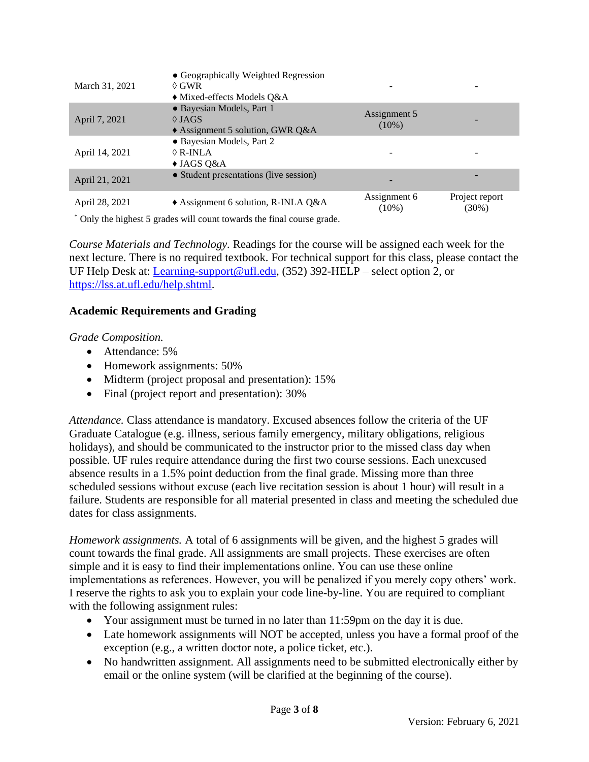| March 31, 2021 | • Geographically Weighted Regression<br>$\Diamond$ GWR<br>$\blacklozenge$ Mixed-effects Models Q&A |                          |                            |
|----------------|----------------------------------------------------------------------------------------------------|--------------------------|----------------------------|
| April 7, 2021  | • Bayesian Models, Part 1<br>$\Diamond$ JAGS<br>$\triangle$ Assignment 5 solution, GWR Q&A         | Assignment 5<br>$(10\%)$ |                            |
| April 14, 2021 | • Bayesian Models, Part 2<br>$\Diamond$ R-INLA<br>$\triangleleft$ JAGS Q&A                         |                          |                            |
| April 21, 2021 | • Student presentations (live session)                                                             |                          |                            |
| April 28, 2021 | $\triangle$ Assignment 6 solution, R-INLA Q&A                                                      | Assignment 6<br>$(10\%)$ | Project report<br>$(30\%)$ |

\* Only the highest 5 grades will count towards the final course grade.

*Course Materials and Technology.* Readings for the course will be assigned each week for the next lecture. There is no required textbook. For technical support for this class, please contact the UF Help Desk at: [Learning-support@ufl.edu,](mailto:Learning-support@ufl.edu) (352) 392-HELP – select option 2, or [https://lss.at.ufl.edu/help.shtml.](https://lss.at.ufl.edu/help.shtml)

### **Academic Requirements and Grading**

*Grade Composition.*

- Attendance: 5%
- Homework assignments: 50%
- Midterm (project proposal and presentation): 15%
- Final (project report and presentation): 30%

*Attendance.* Class attendance is mandatory. Excused absences follow the criteria of the UF Graduate Catalogue (e.g. illness, serious family emergency, military obligations, religious holidays), and should be communicated to the instructor prior to the missed class day when possible. UF rules require attendance during the first two course sessions. Each unexcused absence results in a 1.5% point deduction from the final grade. Missing more than three scheduled sessions without excuse (each live recitation session is about 1 hour) will result in a failure. Students are responsible for all material presented in class and meeting the scheduled due dates for class assignments.

*Homework assignments.* A total of 6 assignments will be given, and the highest 5 grades will count towards the final grade. All assignments are small projects. These exercises are often simple and it is easy to find their implementations online. You can use these online implementations as references. However, you will be penalized if you merely copy others' work. I reserve the rights to ask you to explain your code line-by-line. You are required to compliant with the following assignment rules:

- Your assignment must be turned in no later than 11:59pm on the day it is due.
- Late homework assignments will NOT be accepted, unless you have a formal proof of the exception (e.g., a written doctor note, a police ticket, etc.).
- No handwritten assignment. All assignments need to be submitted electronically either by email or the online system (will be clarified at the beginning of the course).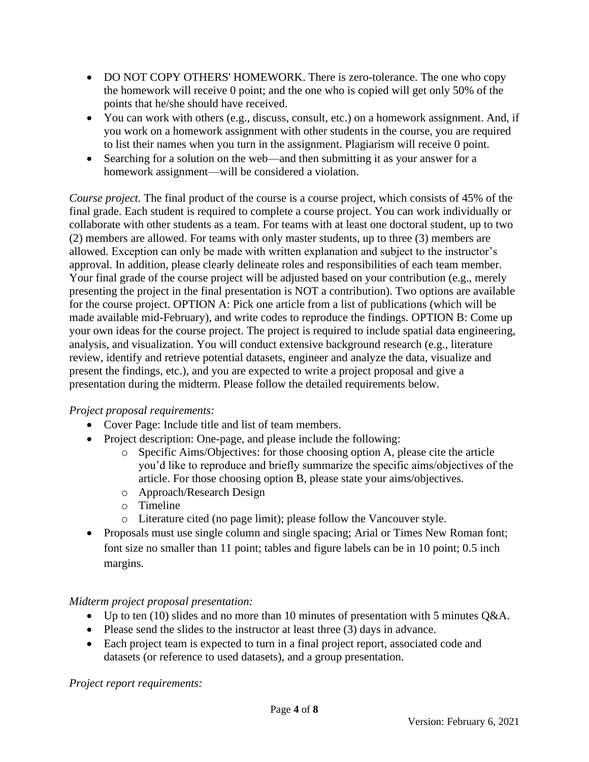- DO NOT COPY OTHERS' HOMEWORK. There is zero-tolerance. The one who copy the homework will receive 0 point; and the one who is copied will get only 50% of the points that he/she should have received.
- You can work with others (e.g., discuss, consult, etc.) on a homework assignment. And, if you work on a homework assignment with other students in the course, you are required to list their names when you turn in the assignment. Plagiarism will receive 0 point.
- Searching for a solution on the web—and then submitting it as your answer for a homework assignment—will be considered a violation.

*Course project.* The final product of the course is a course project, which consists of 45% of the final grade. Each student is required to complete a course project. You can work individually or collaborate with other students as a team. For teams with at least one doctoral student, up to two (2) members are allowed. For teams with only master students, up to three (3) members are allowed. Exception can only be made with written explanation and subject to the instructor's approval. In addition, please clearly delineate roles and responsibilities of each team member. Your final grade of the course project will be adjusted based on your contribution (e.g., merely presenting the project in the final presentation is NOT a contribution). Two options are available for the course project. OPTION A: Pick one article from a list of publications (which will be made available mid-February), and write codes to reproduce the findings. OPTION B: Come up your own ideas for the course project. The project is required to include spatial data engineering, analysis, and visualization. You will conduct extensive background research (e.g., literature review, identify and retrieve potential datasets, engineer and analyze the data, visualize and present the findings, etc.), and you are expected to write a project proposal and give a presentation during the midterm. Please follow the detailed requirements below.

# *Project proposal requirements:*

- Cover Page: Include title and list of team members.
- Project description: One-page, and please include the following:
	- o Specific Aims/Objectives: for those choosing option A, please cite the article you'd like to reproduce and briefly summarize the specific aims/objectives of the article. For those choosing option B, please state your aims/objectives.
	- o Approach/Research Design
	- o Timeline
	- o Literature cited (no page limit); please follow the Vancouver style.
- Proposals must use single column and single spacing; Arial or Times New Roman font; font size no smaller than 11 point; tables and figure labels can be in 10 point; 0.5 inch margins.

### *Midterm project proposal presentation:*

- Up to ten (10) slides and no more than 10 minutes of presentation with 5 minutes Q&A.
- Please send the slides to the instructor at least three (3) days in advance.
- Each project team is expected to turn in a final project report, associated code and datasets (or reference to used datasets), and a group presentation.

*Project report requirements:*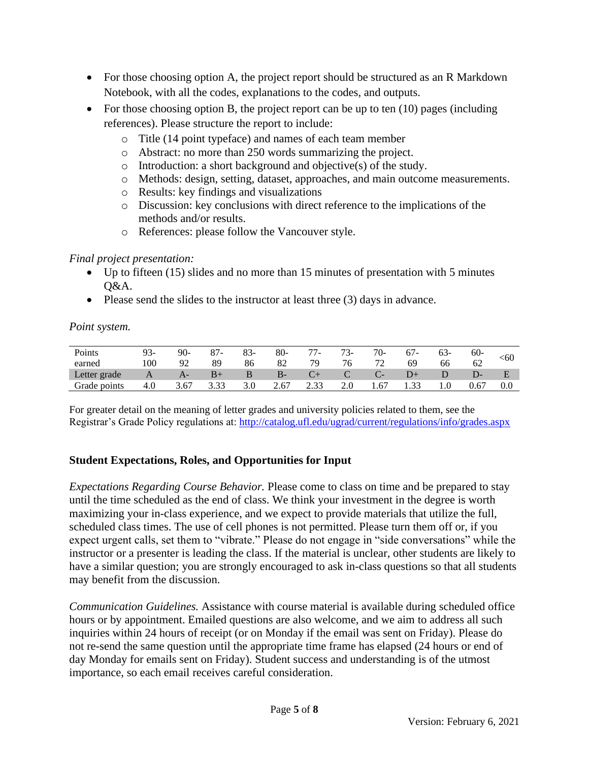- For those choosing option A, the project report should be structured as an R Markdown Notebook, with all the codes, explanations to the codes, and outputs.
- For those choosing option B, the project report can be up to ten (10) pages (including references). Please structure the report to include:
	- o Title (14 point typeface) and names of each team member
	- o Abstract: no more than 250 words summarizing the project.
	- o Introduction: a short background and objective(s) of the study.
	- o Methods: design, setting, dataset, approaches, and main outcome measurements.
	- o Results: key findings and visualizations
	- o Discussion: key conclusions with direct reference to the implications of the methods and/or results.
	- o References: please follow the Vancouver style.

### *Final project presentation:*

- Up to fifteen (15) slides and no more than 15 minutes of presentation with 5 minutes Q&A.
- Please send the slides to the instructor at least three (3) days in advance.

### *Point system.*

| Points       | 93-      | $90-$ | 87<br>$\overline{\phantom{a}}$ | $83-$ | $80-$     | 77<br>$\prime$ - | $73-$ | $70-$ |      | 03- | $60-$ | <60     |
|--------------|----------|-------|--------------------------------|-------|-----------|------------------|-------|-------|------|-----|-------|---------|
| earned       | $100 \,$ | 92    | 89                             | 86    | 82        | 79               | 76    | 72    | 69   | 66  | 62    |         |
| Letter grade |          | Az    | B+                             |       | <u>ь-</u> |                  |       | . L   |      |     |       |         |
| Grade points | 4.0      | 3.67  | 3.33                           | 3.0   | 2.67      | 2.33             | 2.0   | 1.67  | 1.33 |     | 0.67  | $0.0\,$ |

For greater detail on the meaning of letter grades and university policies related to them, see the Registrar's Grade Policy regulations at:<http://catalog.ufl.edu/ugrad/current/regulations/info/grades.aspx>

# **Student Expectations, Roles, and Opportunities for Input**

*Expectations Regarding Course Behavior.* Please come to class on time and be prepared to stay until the time scheduled as the end of class. We think your investment in the degree is worth maximizing your in-class experience, and we expect to provide materials that utilize the full, scheduled class times. The use of cell phones is not permitted. Please turn them off or, if you expect urgent calls, set them to "vibrate." Please do not engage in "side conversations" while the instructor or a presenter is leading the class. If the material is unclear, other students are likely to have a similar question; you are strongly encouraged to ask in-class questions so that all students may benefit from the discussion.

*Communication Guidelines.* Assistance with course material is available during scheduled office hours or by appointment. Emailed questions are also welcome, and we aim to address all such inquiries within 24 hours of receipt (or on Monday if the email was sent on Friday). Please do not re-send the same question until the appropriate time frame has elapsed (24 hours or end of day Monday for emails sent on Friday). Student success and understanding is of the utmost importance, so each email receives careful consideration.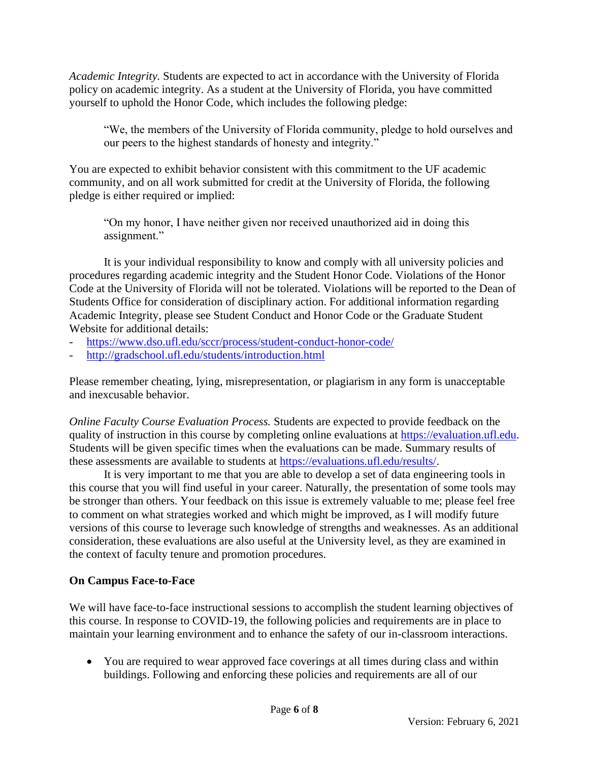*Academic Integrity.* Students are expected to act in accordance with the University of Florida policy on academic integrity. As a student at the University of Florida, you have committed yourself to uphold the Honor Code, which includes the following pledge:

"We, the members of the University of Florida community, pledge to hold ourselves and our peers to the highest standards of honesty and integrity."

You are expected to exhibit behavior consistent with this commitment to the UF academic community, and on all work submitted for credit at the University of Florida, the following pledge is either required or implied:

"On my honor, I have neither given nor received unauthorized aid in doing this assignment."

It is your individual responsibility to know and comply with all university policies and procedures regarding academic integrity and the Student Honor Code. Violations of the Honor Code at the University of Florida will not be tolerated. Violations will be reported to the Dean of Students Office for consideration of disciplinary action. For additional information regarding Academic Integrity, please see Student Conduct and Honor Code or the Graduate Student Website for additional details:

- <https://www.dso.ufl.edu/sccr/process/student-conduct-honor-code/>
- <http://gradschool.ufl.edu/students/introduction.html>

Please remember cheating, lying, misrepresentation, or plagiarism in any form is unacceptable and inexcusable behavior.

*Online Faculty Course Evaluation Process.* Students are expected to provide feedback on the quality of instruction in this course by completing online evaluations at [https://evaluation.ufl.edu.](https://evaluation.ufl.edu/) Students will be given specific times when the evaluations can be made. Summary results of these assessments are available to students at [https://evaluations.ufl.edu/results/.](https://evaluations.ufl.edu/results/)

It is very important to me that you are able to develop a set of data engineering tools in this course that you will find useful in your career. Naturally, the presentation of some tools may be stronger than others. Your feedback on this issue is extremely valuable to me; please feel free to comment on what strategies worked and which might be improved, as I will modify future versions of this course to leverage such knowledge of strengths and weaknesses. As an additional consideration, these evaluations are also useful at the University level, as they are examined in the context of faculty tenure and promotion procedures.

# **On Campus Face-to-Face**

We will have face-to-face instructional sessions to accomplish the student learning objectives of this course. In response to COVID-19, the following policies and requirements are in place to maintain your learning environment and to enhance the safety of our in-classroom interactions.

• You are required to wear approved face coverings at all times during class and within buildings. Following and enforcing these policies and requirements are all of our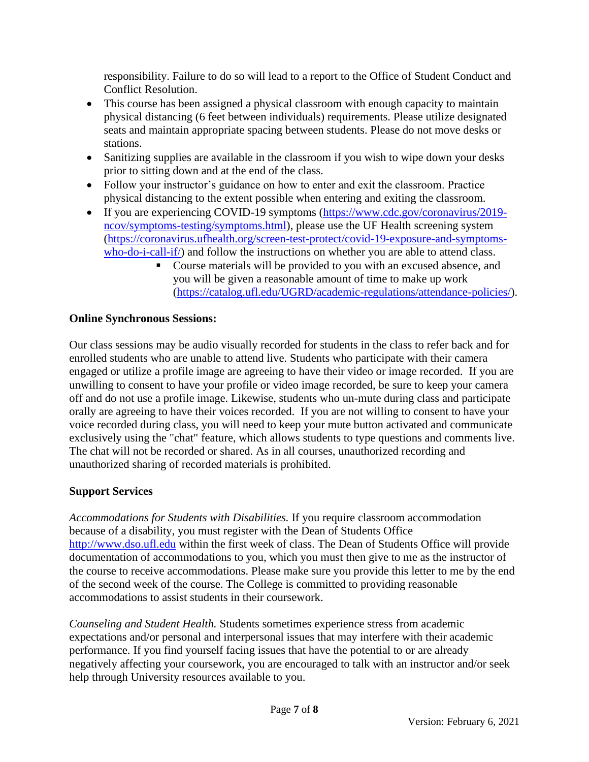responsibility. Failure to do so will lead to a report to the Office of Student Conduct and Conflict Resolution.

- This course has been assigned a physical classroom with enough capacity to maintain physical distancing (6 feet between individuals) requirements. Please utilize designated seats and maintain appropriate spacing between students. Please do not move desks or stations.
- Sanitizing supplies are available in the classroom if you wish to wipe down your desks prior to sitting down and at the end of the class.
- Follow your instructor's guidance on how to enter and exit the classroom. Practice physical distancing to the extent possible when entering and exiting the classroom.
- If you are experiencing COVID-19 symptoms [\(https://www.cdc.gov/coronavirus/2019](https://urldefense.proofpoint.com/v2/url?u=https-3A__www.cdc.gov_coronavirus_2019-2Dncov_symptoms-2Dtesting_symptoms.html&d=DwMFaQ&c=sJ6xIWYx-zLMB3EPkvcnVg&r=2eqnalQIUE0hidnDPZGPPg&m=wMxzNN5yzS4aCabR9rleZtoPi63GZgYCd_AAluVIC6A&s=oJ4khddXMzhMscczQdr_FjKeCOf4o2x-Fy9V9TAfSIw&e=) [ncov/symptoms-testing/symptoms.html\)](https://urldefense.proofpoint.com/v2/url?u=https-3A__www.cdc.gov_coronavirus_2019-2Dncov_symptoms-2Dtesting_symptoms.html&d=DwMFaQ&c=sJ6xIWYx-zLMB3EPkvcnVg&r=2eqnalQIUE0hidnDPZGPPg&m=wMxzNN5yzS4aCabR9rleZtoPi63GZgYCd_AAluVIC6A&s=oJ4khddXMzhMscczQdr_FjKeCOf4o2x-Fy9V9TAfSIw&e=), please use the UF Health screening system [\(https://coronavirus.ufhealth.org/screen-test-protect/covid-19-exposure-and-symptoms](https://coronavirus.ufhealth.org/screen-test-protect/covid-19-exposure-and-symptoms-who-do-i-call-if/)[who-do-i-call-if/\)](https://coronavirus.ufhealth.org/screen-test-protect/covid-19-exposure-and-symptoms-who-do-i-call-if/) and follow the instructions on whether you are able to attend class.
	- Course materials will be provided to you with an excused absence, and you will be given a reasonable amount of time to make up work [\(https://catalog.ufl.edu/UGRD/academic-regulations/attendance-policies/\)](https://catalog.ufl.edu/UGRD/academic-regulations/attendance-policies/).

### **Online Synchronous Sessions:**

Our class sessions may be audio visually recorded for students in the class to refer back and for enrolled students who are unable to attend live. Students who participate with their camera engaged or utilize a profile image are agreeing to have their video or image recorded. If you are unwilling to consent to have your profile or video image recorded, be sure to keep your camera off and do not use a profile image. Likewise, students who un-mute during class and participate orally are agreeing to have their voices recorded. If you are not willing to consent to have your voice recorded during class, you will need to keep your mute button activated and communicate exclusively using the "chat" feature, which allows students to type questions and comments live. The chat will not be recorded or shared. As in all courses, unauthorized recording and unauthorized sharing of recorded materials is prohibited.

### **Support Services**

*Accommodations for Students with Disabilities.* If you require classroom accommodation because of a disability, you must register with the Dean of Students Office [http://www.dso.ufl.edu](http://www.dso.ufl.edu/) within the first week of class. The Dean of Students Office will provide documentation of accommodations to you, which you must then give to me as the instructor of the course to receive accommodations. Please make sure you provide this letter to me by the end of the second week of the course. The College is committed to providing reasonable accommodations to assist students in their coursework.

*Counseling and Student Health.* Students sometimes experience stress from academic expectations and/or personal and interpersonal issues that may interfere with their academic performance. If you find yourself facing issues that have the potential to or are already negatively affecting your coursework, you are encouraged to talk with an instructor and/or seek help through University resources available to you.